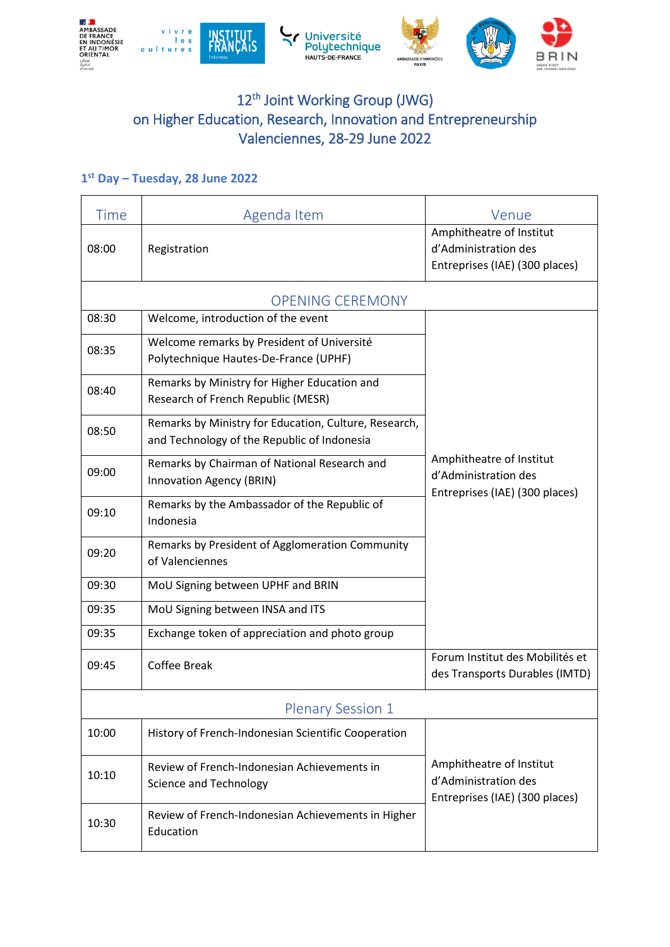

## 12<sup>th</sup> Joint Working Group (JWG) on Higher Education, Research, Innovation and Entrepreneurship Valenciennes, 28-29 June 2022

## **1 st Day – Tuesday, 28 June 2022**

| Time                     | Agenda Item                                                                                          | Venue                                                                              |
|--------------------------|------------------------------------------------------------------------------------------------------|------------------------------------------------------------------------------------|
| 08:00                    | Registration                                                                                         | Amphitheatre of Institut<br>d'Administration des<br>Entreprises (IAE) (300 places) |
|                          | <b>OPENING CEREMONY</b>                                                                              |                                                                                    |
| 08:30                    | Welcome, introduction of the event                                                                   |                                                                                    |
| 08:35                    | Welcome remarks by President of Université<br>Polytechnique Hautes-De-France (UPHF)                  |                                                                                    |
| 08:40                    | Remarks by Ministry for Higher Education and<br>Research of French Republic (MESR)                   | Amphitheatre of Institut<br>d'Administration des<br>Entreprises (IAE) (300 places) |
| 08:50                    | Remarks by Ministry for Education, Culture, Research,<br>and Technology of the Republic of Indonesia |                                                                                    |
| 09:00                    | Remarks by Chairman of National Research and<br>Innovation Agency (BRIN)                             |                                                                                    |
| 09:10                    | Remarks by the Ambassador of the Republic of<br>Indonesia                                            |                                                                                    |
| 09:20                    | Remarks by President of Agglomeration Community<br>of Valenciennes                                   |                                                                                    |
| 09:30                    | MoU Signing between UPHF and BRIN                                                                    |                                                                                    |
| 09:35                    | MoU Signing between INSA and ITS                                                                     |                                                                                    |
| 09:35                    | Exchange token of appreciation and photo group                                                       |                                                                                    |
| 09:45                    | <b>Coffee Break</b>                                                                                  | Forum Institut des Mobilités et<br>des Transports Durables (IMTD)                  |
| <b>Plenary Session 1</b> |                                                                                                      |                                                                                    |
| 10:00                    | History of French-Indonesian Scientific Cooperation                                                  |                                                                                    |
| 10:10                    | Review of French-Indonesian Achievements in<br><b>Science and Technology</b>                         | Amphitheatre of Institut<br>d'Administration des<br>Entreprises (IAE) (300 places) |
| 10:30                    | Review of French-Indonesian Achievements in Higher<br>Education                                      |                                                                                    |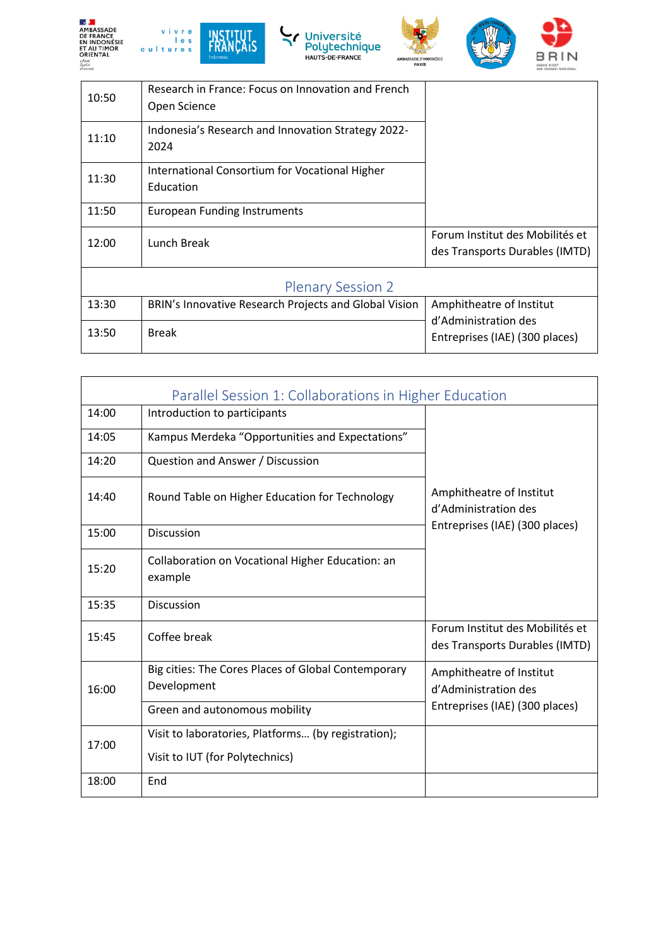









| nsa<br>teruité |                                                                    |                                                                   |
|----------------|--------------------------------------------------------------------|-------------------------------------------------------------------|
| 10:50          | Research in France: Focus on Innovation and French<br>Open Science |                                                                   |
| 11:10          | Indonesia's Research and Innovation Strategy 2022-<br>2024         |                                                                   |
| 11:30          | International Consortium for Vocational Higher<br>Education        |                                                                   |
| 11:50          | <b>European Funding Instruments</b>                                |                                                                   |
| 12:00          | Lunch Break                                                        | Forum Institut des Mobilités et<br>des Transports Durables (IMTD) |
|                |                                                                    |                                                                   |

## Plenary Session 2

| 13:30 | BRIN's Innovative Research Projects and Global Vision   Amphitheatre of Institut |                                                        |
|-------|----------------------------------------------------------------------------------|--------------------------------------------------------|
| 13:50 | <b>Break</b>                                                                     | d'Administration des<br>Entreprises (IAE) (300 places) |
|       |                                                                                  |                                                        |

| Parallel Session 1: Collaborations in Higher Education |                                                                    |                                                                                    |
|--------------------------------------------------------|--------------------------------------------------------------------|------------------------------------------------------------------------------------|
| 14:00                                                  | Introduction to participants                                       | Amphitheatre of Institut<br>d'Administration des<br>Entreprises (IAE) (300 places) |
| 14:05                                                  | Kampus Merdeka "Opportunities and Expectations"                    |                                                                                    |
| 14:20                                                  | Question and Answer / Discussion                                   |                                                                                    |
| 14:40                                                  | Round Table on Higher Education for Technology                     |                                                                                    |
| 15:00                                                  | <b>Discussion</b>                                                  |                                                                                    |
| 15:20                                                  | Collaboration on Vocational Higher Education: an<br>example        |                                                                                    |
| 15:35                                                  | <b>Discussion</b>                                                  |                                                                                    |
| 15:45                                                  | Coffee break                                                       | Forum Institut des Mobilités et<br>des Transports Durables (IMTD)                  |
| 16:00                                                  | Big cities: The Cores Places of Global Contemporary<br>Development | Amphitheatre of Institut<br>d'Administration des                                   |
|                                                        | Green and autonomous mobility                                      | Entreprises (IAE) (300 places)                                                     |
| 17:00                                                  | Visit to laboratories, Platforms (by registration);                |                                                                                    |
|                                                        | Visit to IUT (for Polytechnics)                                    |                                                                                    |
| 18:00                                                  | End                                                                |                                                                                    |

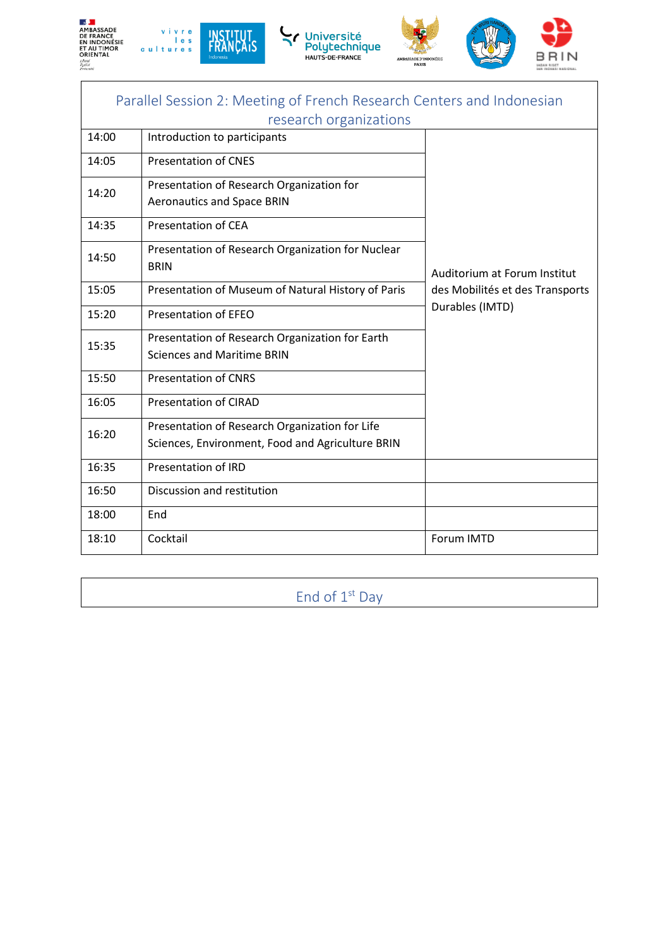









| Parallel Session 2: Meeting of French Research Centers and Indonesian<br>research organizations |                                                                                                    |                                 |
|-------------------------------------------------------------------------------------------------|----------------------------------------------------------------------------------------------------|---------------------------------|
| 14:00                                                                                           | Introduction to participants                                                                       |                                 |
| 14:05                                                                                           | <b>Presentation of CNES</b>                                                                        |                                 |
| 14:20                                                                                           | Presentation of Research Organization for<br><b>Aeronautics and Space BRIN</b>                     |                                 |
| 14:35                                                                                           | <b>Presentation of CEA</b>                                                                         |                                 |
| 14:50                                                                                           | Presentation of Research Organization for Nuclear<br><b>BRIN</b>                                   | Auditorium at Forum Institut    |
| 15:05                                                                                           | Presentation of Museum of Natural History of Paris                                                 | des Mobilités et des Transports |
| 15:20                                                                                           | <b>Presentation of EFEO</b>                                                                        | Durables (IMTD)                 |
| 15:35                                                                                           | Presentation of Research Organization for Earth<br><b>Sciences and Maritime BRIN</b>               |                                 |
| 15:50                                                                                           | <b>Presentation of CNRS</b>                                                                        |                                 |
| 16:05                                                                                           | <b>Presentation of CIRAD</b>                                                                       |                                 |
| 16:20                                                                                           | Presentation of Research Organization for Life<br>Sciences, Environment, Food and Agriculture BRIN |                                 |
| 16:35                                                                                           | <b>Presentation of IRD</b>                                                                         |                                 |
| 16:50                                                                                           | Discussion and restitution                                                                         |                                 |
| 18:00                                                                                           | End                                                                                                |                                 |
| 18:10                                                                                           | Cocktail                                                                                           | Forum IMTD                      |

End of 1<sup>st</sup> Day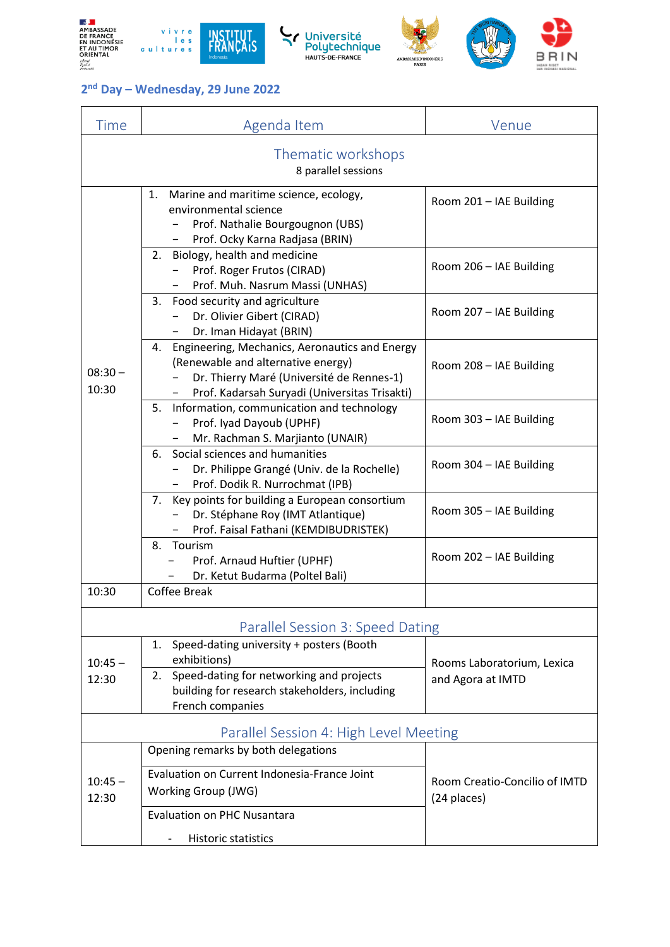











## **2 nd Day – Wednesday, 29 June 2022**

| Time                                      | Agenda Item                                                                                                                                                                           | Venue                                        |  |
|-------------------------------------------|---------------------------------------------------------------------------------------------------------------------------------------------------------------------------------------|----------------------------------------------|--|
| Thematic workshops<br>8 parallel sessions |                                                                                                                                                                                       |                                              |  |
| $08:30 -$<br>10:30                        | 1.<br>Marine and maritime science, ecology,<br>environmental science<br>Prof. Nathalie Bourgougnon (UBS)<br>Prof. Ocky Karna Radjasa (BRIN)<br>$\overline{\phantom{0}}$               | Room 201 - IAE Building                      |  |
|                                           | 2. Biology, health and medicine<br>Prof. Roger Frutos (CIRAD)<br>Prof. Muh. Nasrum Massi (UNHAS)                                                                                      | Room 206 - IAE Building                      |  |
|                                           | Food security and agriculture<br>3.<br>Dr. Olivier Gibert (CIRAD)<br>Dr. Iman Hidayat (BRIN)                                                                                          | Room 207 - IAE Building                      |  |
|                                           | 4. Engineering, Mechanics, Aeronautics and Energy<br>(Renewable and alternative energy)<br>Dr. Thierry Maré (Université de Rennes-1)<br>Prof. Kadarsah Suryadi (Universitas Trisakti) | Room 208 - IAE Building                      |  |
|                                           | 5. Information, communication and technology<br>Prof. Iyad Dayoub (UPHF)<br>Mr. Rachman S. Marjianto (UNAIR)                                                                          | Room 303 - IAE Building                      |  |
|                                           | Social sciences and humanities<br>6.<br>Dr. Philippe Grangé (Univ. de la Rochelle)<br>Prof. Dodik R. Nurrochmat (IPB)<br>$-$                                                          | Room 304 - IAE Building                      |  |
|                                           | 7. Key points for building a European consortium<br>Dr. Stéphane Roy (IMT Atlantique)<br>Prof. Faisal Fathani (KEMDIBUDRISTEK)                                                        | Room 305 - IAE Building                      |  |
|                                           | 8. Tourism<br>Prof. Arnaud Huftier (UPHF)<br>Dr. Ketut Budarma (Poltel Bali)                                                                                                          | Room 202 - IAE Building                      |  |
| 10:30                                     | Coffee Break                                                                                                                                                                          |                                              |  |
| Parallel Session 3: Speed Dating          |                                                                                                                                                                                       |                                              |  |
| $10:45 -$<br>12:30                        | Speed-dating university + posters (Booth<br>1.<br>exhibitions)<br>2. Speed-dating for networking and projects                                                                         | Rooms Laboratorium, Lexica                   |  |
|                                           | building for research stakeholders, including<br>French companies                                                                                                                     | and Agora at IMTD                            |  |
| Parallel Session 4: High Level Meeting    |                                                                                                                                                                                       |                                              |  |
| $10:45 -$<br>12:30                        | Opening remarks by both delegations                                                                                                                                                   |                                              |  |
|                                           | Evaluation on Current Indonesia-France Joint<br>Working Group (JWG)                                                                                                                   | Room Creatio-Concilio of IMTD<br>(24 places) |  |
|                                           | <b>Evaluation on PHC Nusantara</b>                                                                                                                                                    |                                              |  |
|                                           | Historic statistics                                                                                                                                                                   |                                              |  |